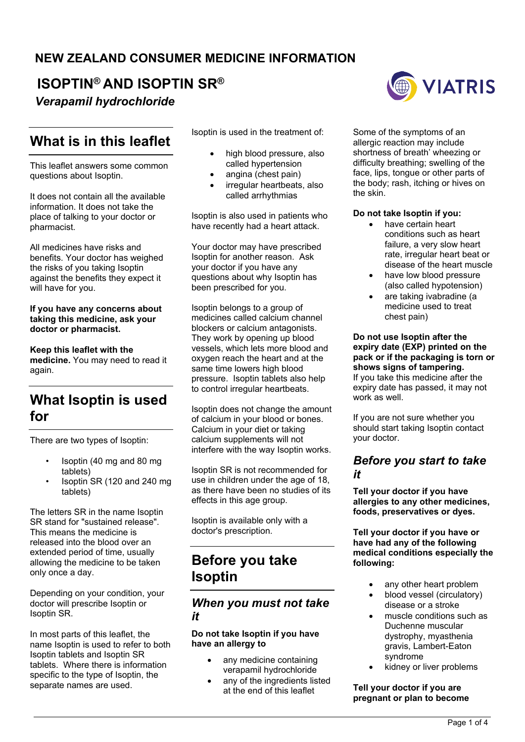### **NEW ZEALAND CONSUMER MEDICINE INFORMATION**

# **ISOPTIN® AND ISOPTIN SR®**

*Verapamil hydrochloride*

# **What is in this leaflet**

This leaflet answers some common questions about Isoptin.

It does not contain all the available information. It does not take the place of talking to your doctor or pharmacist.

All medicines have risks and benefits. Your doctor has weighed the risks of you taking Isoptin against the benefits they expect it will have for you.

#### **If you have any concerns about taking this medicine, ask your doctor or pharmacist.**

**Keep this leaflet with the medicine.** You may need to read it again.

# **What Isoptin is used for**

There are two types of Isoptin:

- Isoptin (40 mg and 80 mg tablets)
- Isoptin SR (120 and 240 mg tablets)

The letters SR in the name Isoptin SR stand for "sustained release". This means the medicine is released into the blood over an extended period of time, usually allowing the medicine to be taken only once a day.

Depending on your condition, your doctor will prescribe Isoptin or Isoptin SR.

In most parts of this leaflet, the name Isoptin is used to refer to both Isoptin tablets and Isoptin SR tablets. Where there is information specific to the type of Isoptin, the separate names are used.

Isoptin is used in the treatment of:

- high blood pressure, also called hypertension
- angina (chest pain)
- irregular heartbeats, also called arrhythmias

Isoptin is also used in patients who have recently had a heart attack.

Your doctor may have prescribed Isoptin for another reason. Ask your doctor if you have any questions about why Isoptin has been prescribed for you.

Isoptin belongs to a group of medicines called calcium channel blockers or calcium antagonists. They work by opening up blood vessels, which lets more blood and oxygen reach the heart and at the same time lowers high blood pressure. Isoptin tablets also help to control irregular heartbeats.

Isoptin does not change the amount of calcium in your blood or bones. Calcium in your diet or taking calcium supplements will not interfere with the way Isoptin works.

Isoptin SR is not recommended for use in children under the age of 18, as there have been no studies of its effects in this age group.

Isoptin is available only with a doctor's prescription.

# **Before you take Isoptin**

### *When you must not take it*

#### **Do not take Isoptin if you have have an allergy to**

- any medicine containing verapamil hydrochloride
- any of the ingredients listed at the end of this leaflet



Some of the symptoms of an allergic reaction may include shortness of breath' wheezing or difficulty breathing; swelling of the face, lips, tongue or other parts of the body; rash, itching or hives on the skin.

#### **Do not take Isoptin if you:**

- have certain heart conditions such as heart failure, a very slow heart rate, irregular heart beat or disease of the heart muscle
- have low blood pressure (also called hypotension)
- are taking ivabradine (a medicine used to treat chest pain)

#### **Do not use Isoptin after the expiry date (EXP) printed on the pack or if the packaging is torn or shows signs of tampering.** If you take this medicine after the expiry date has passed, it may not work as well.

If you are not sure whether you should start taking Isoptin contact your doctor.

### *Before you start to take it*

**Tell your doctor if you have allergies to any other medicines, foods, preservatives or dyes.**

**Tell your doctor if you have or have had any of the following medical conditions especially the following:**

- any other heart problem
- blood vessel (circulatory) disease or a stroke
- muscle conditions such as Duchenne muscular dystrophy, myasthenia gravis, Lambert-Eaton syndrome
- kidney or liver problems

#### **Tell your doctor if you are pregnant or plan to become**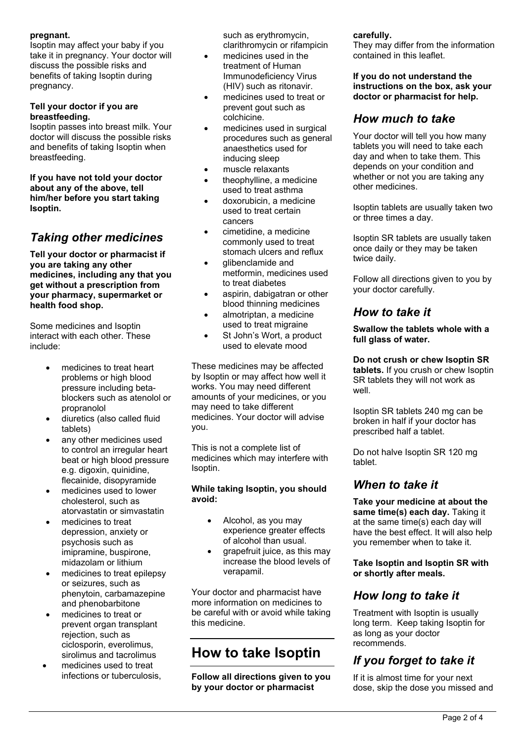#### **pregnant.**

Isoptin may affect your baby if you take it in pregnancy. Your doctor will discuss the possible risks and benefits of taking Isoptin during pregnancy.

#### **Tell your doctor if you are breastfeeding.**

Isoptin passes into breast milk. Your doctor will discuss the possible risks and benefits of taking Isoptin when breastfeeding.

**If you have not told your doctor about any of the above, tell him/her before you start taking Isoptin.**

### *Taking other medicines*

**Tell your doctor or pharmacist if you are taking any other medicines, including any that you get without a prescription from your pharmacy, supermarket or health food shop.** 

Some medicines and Isoptin interact with each other. These include:

- medicines to treat heart problems or high blood pressure including betablockers such as atenolol or propranolol
- diuretics (also called fluid tablets)
- any other medicines used to control an irregular heart beat or high blood pressure e.g. digoxin, quinidine, flecainide, disopyramide
- medicines used to lower cholesterol, such as atorvastatin or simvastatin
- medicines to treat depression, anxiety or psychosis such as imipramine, buspirone, midazolam or lithium
- medicines to treat epilepsy or seizures, such as phenytoin, carbamazepine and phenobarbitone
- medicines to treat or prevent organ transplant rejection, such as ciclosporin, everolimus, sirolimus and tacrolimus
- medicines used to treat infections or tuberculosis,

such as erythromycin, clarithromycin or rifampicin

- medicines used in the treatment of Human Immunodeficiency Virus (HIV) such as ritonavir.
- medicines used to treat or prevent gout such as colchicine.
- medicines used in surgical procedures such as general anaesthetics used for inducing sleep
- muscle relaxants
- theophylline, a medicine used to treat asthma
- doxorubicin, a medicine used to treat certain cancers
- cimetidine, a medicine commonly used to treat stomach ulcers and reflux
- glibenclamide and metformin, medicines used to treat diabetes
- aspirin, dabigatran or other blood thinning medicines
- almotriptan, a medicine used to treat migraine
- St John's Wort, a product used to elevate mood

These medicines may be affected by Isoptin or may affect how well it works. You may need different amounts of your medicines, or you may need to take different medicines. Your doctor will advise you.

This is not a complete list of medicines which may interfere with Isoptin.

#### **While taking Isoptin, you should avoid:**

- Alcohol, as you may experience greater effects of alcohol than usual.
- grapefruit juice, as this may increase the blood levels of verapamil.

Your doctor and pharmacist have more information on medicines to be careful with or avoid while taking this medicine.

# **How to take Isoptin**

**Follow all directions given to you by your doctor or pharmacist** 

#### **carefully.**

They may differ from the information contained in this leaflet.

**If you do not understand the instructions on the box, ask your doctor or pharmacist for help.**

### *How much to take*

Your doctor will tell you how many tablets you will need to take each day and when to take them. This depends on your condition and whether or not you are taking any other medicines.

Isoptin tablets are usually taken two or three times a day.

Isoptin SR tablets are usually taken once daily or they may be taken twice daily.

Follow all directions given to you by your doctor carefully.

### *How to take it*

**Swallow the tablets whole with a full glass of water.**

**Do not crush or chew Isoptin SR tablets.** If you crush or chew Isoptin SR tablets they will not work as well.

Isoptin SR tablets 240 mg can be broken in half if your doctor has prescribed half a tablet.

Do not halve Isoptin SR 120 mg tablet.

### *When to take it*

**Take your medicine at about the same time(s) each day.** Taking it at the same time(s) each day will have the best effect. It will also help you remember when to take it.

**Take Isoptin and Isoptin SR with or shortly after meals.**

### *How long to take it*

Treatment with Isoptin is usually long term. Keep taking Isoptin for as long as your doctor recommends.

# *If you forget to take it*

If it is almost time for your next dose, skip the dose you missed and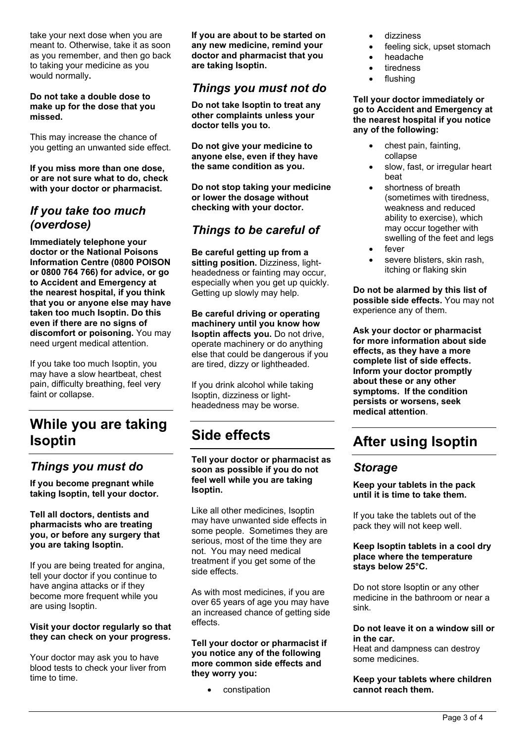take your next dose when you are meant to. Otherwise, take it as soon as you remember, and then go back to taking your medicine as you would normally**.**

**Do not take a double dose to make up for the dose that you missed.**

This may increase the chance of you getting an unwanted side effect.

**If you miss more than one dose, or are not sure what to do, check with your doctor or pharmacist.**

### *If you take too much (overdose)*

**Immediately telephone your doctor or the National Poisons Information Centre (0800 POISON or 0800 764 766) for advice, or go to Accident and Emergency at the nearest hospital, if you think that you or anyone else may have taken too much Isoptin. Do this even if there are no signs of discomfort or poisoning.** You may need urgent medical attention.

If you take too much Isoptin, you may have a slow heartbeat, chest pain, difficulty breathing, feel very faint or collapse.

# **While you are taking Isoptin**

### *Things you must do*

**If you become pregnant while taking Isoptin, tell your doctor.**

#### **Tell all doctors, dentists and pharmacists who are treating you, or before any surgery that you are taking Isoptin.**

If you are being treated for angina, tell your doctor if you continue to have angina attacks or if they become more frequent while you are using Isoptin.

#### **Visit your doctor regularly so that they can check on your progress.**

Your doctor may ask you to have blood tests to check your liver from time to time.

**If you are about to be started on any new medicine, remind your doctor and pharmacist that you are taking Isoptin.**

### *Things you must not do*

**Do not take Isoptin to treat any other complaints unless your doctor tells you to.**

**Do not give your medicine to anyone else, even if they have the same condition as you.**

**Do not stop taking your medicine or lower the dosage without checking with your doctor.**

### *Things to be careful of*

**Be careful getting up from a sitting position.** Dizziness, lightheadedness or fainting may occur, especially when you get up quickly. Getting up slowly may help.

**Be careful driving or operating machinery until you know how Isoptin affects you.** Do not drive, operate machinery or do anything else that could be dangerous if you are tired, dizzy or lightheaded.

If you drink alcohol while taking Isoptin, dizziness or lightheadedness may be worse.

# **Side effects**

**Tell your doctor or pharmacist as soon as possible if you do not feel well while you are taking Isoptin.**

Like all other medicines, Isoptin may have unwanted side effects in some people. Sometimes they are serious, most of the time they are not. You may need medical treatment if you get some of the side effects.

As with most medicines, if you are over 65 years of age you may have an increased chance of getting side effects.

#### **Tell your doctor or pharmacist if you notice any of the following more common side effects and they worry you:**

constipation

- dizziness
- feeling sick, upset stomach
- headache
- tiredness
- flushing

#### **Tell your doctor immediately or go to Accident and Emergency at the nearest hospital if you notice any of the following:**

- chest pain, fainting, collapse
- slow, fast, or irregular heart beat
- shortness of breath (sometimes with tiredness, weakness and reduced ability to exercise), which may occur together with swelling of the feet and legs fever
- 
- severe blisters, skin rash, itching or flaking skin

**Do not be alarmed by this list of possible side effects.** You may not experience any of them.

**Ask your doctor or pharmacist for more information about side effects, as they have a more complete list of side effects. Inform your doctor promptly about these or any other symptoms. If the condition persists or worsens, seek medical attention**.

# **After using Isoptin**

### *Storage*

**Keep your tablets in the pack until it is time to take them.**

If you take the tablets out of the pack they will not keep well.

#### **Keep Isoptin tablets in a cool dry place where the temperature stays below 25°C.**

Do not store Isoptin or any other medicine in the bathroom or near a sink.

#### **Do not leave it on a window sill or in the car.**

Heat and dampness can destroy some medicines.

#### **Keep your tablets where children cannot reach them.**